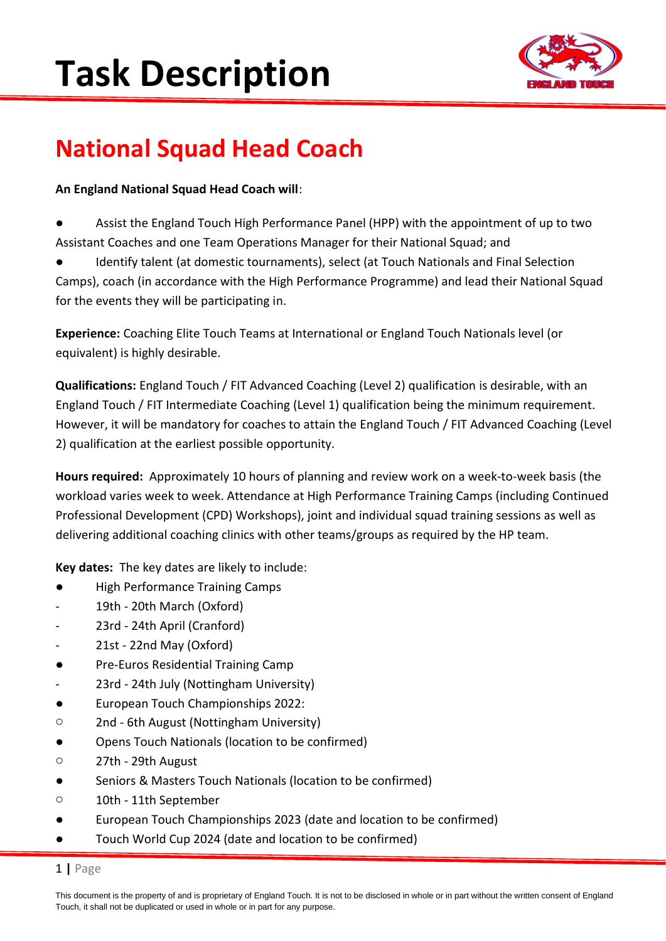

### **National Squad Head Coach**

### **An England National Squad Head Coach will**:

- Assist the England Touch High Performance Panel (HPP) with the appointment of up to two Assistant Coaches and one Team Operations Manager for their National Squad; and
- Identify talent (at domestic tournaments), select (at Touch Nationals and Final Selection Camps), coach (in accordance with the High Performance Programme) and lead their National Squad for the events they will be participating in.

**Experience:** Coaching Elite Touch Teams at International or England Touch Nationals level (or equivalent) is highly desirable.

**Qualifications:** England Touch / FIT Advanced Coaching (Level 2) qualification is desirable, with an England Touch / FIT Intermediate Coaching (Level 1) qualification being the minimum requirement. However, it will be mandatory for coaches to attain the England Touch / FIT Advanced Coaching (Level 2) qualification at the earliest possible opportunity.

**Hours required:** Approximately 10 hours of planning and review work on a week-to-week basis (the workload varies week to week. Attendance at High Performance Training Camps (including Continued Professional Development (CPD) Workshops), joint and individual squad training sessions as well as delivering additional coaching clinics with other teams/groups as required by the HP team.

**Key dates:** The key dates are likely to include:

- **High Performance Training Camps**
- 19th 20th March (Oxford)
- 23rd 24th April (Cranford)
- 21st 22nd May (Oxford)
- Pre-Euros Residential Training Camp
- 23rd 24th July (Nottingham University)
- European Touch Championships 2022:
- o 2nd 6th August (Nottingham University)
- Opens Touch Nationals (location to be confirmed)
- o 27th 29th August
- Seniors & Masters Touch Nationals (location to be confirmed)
- o 10th 11th September
- European Touch Championships 2023 (date and location to be confirmed)
- Touch World Cup 2024 (date and location to be confirmed)

### 1 **|** Page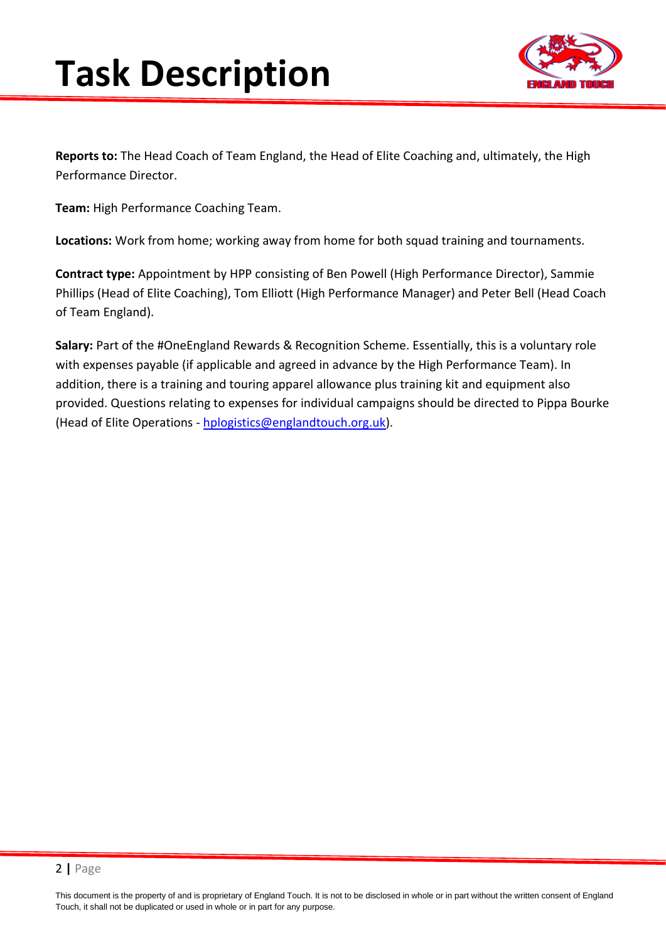

**Reports to:** The Head Coach of Team England, the Head of Elite Coaching and, ultimately, the High Performance Director.

**Team:** High Performance Coaching Team.

**Locations:** Work from home; working away from home for both squad training and tournaments.

**Contract type:** Appointment by HPP consisting of Ben Powell (High Performance Director), Sammie Phillips (Head of Elite Coaching), Tom Elliott (High Performance Manager) and Peter Bell (Head Coach of Team England).

**Salary:** Part of the #OneEngland Rewards & Recognition Scheme. Essentially, this is a voluntary role with expenses payable (if applicable and agreed in advance by the High Performance Team). In addition, there is a training and touring apparel allowance plus training kit and equipment also provided. Questions relating to expenses for individual campaigns should be directed to Pippa Bourke (Head of Elite Operations - [hplogistics@englandtouch.org.uk\)](mailto:hplogistics@englandtouch.org.uk).

This document is the property of and is proprietary of England Touch. It is not to be disclosed in whole or in part without the written consent of England Touch, it shall not be duplicated or used in whole or in part for any purpose.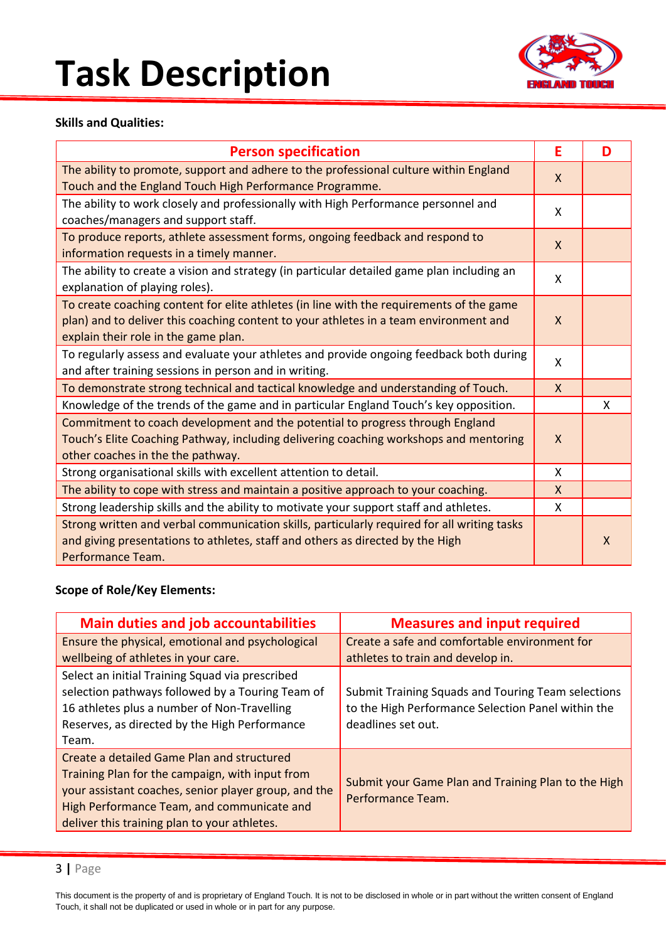

#### **Skills and Qualities:**

| <b>Person specification</b>                                                                                                                                                                                               | E            | D |
|---------------------------------------------------------------------------------------------------------------------------------------------------------------------------------------------------------------------------|--------------|---|
| The ability to promote, support and adhere to the professional culture within England<br>Touch and the England Touch High Performance Programme.                                                                          | X            |   |
| The ability to work closely and professionally with High Performance personnel and<br>coaches/managers and support staff.                                                                                                 | X            |   |
| To produce reports, athlete assessment forms, ongoing feedback and respond to<br>information requests in a timely manner.                                                                                                 | $\mathsf{X}$ |   |
| The ability to create a vision and strategy (in particular detailed game plan including an<br>explanation of playing roles).                                                                                              | X            |   |
| To create coaching content for elite athletes (in line with the requirements of the game<br>plan) and to deliver this coaching content to your athletes in a team environment and<br>explain their role in the game plan. | $\mathsf{X}$ |   |
| To regularly assess and evaluate your athletes and provide ongoing feedback both during<br>and after training sessions in person and in writing.                                                                          | X            |   |
| To demonstrate strong technical and tactical knowledge and understanding of Touch.                                                                                                                                        | $\mathsf{X}$ |   |
| Knowledge of the trends of the game and in particular England Touch's key opposition.                                                                                                                                     |              | X |
| Commitment to coach development and the potential to progress through England<br>Touch's Elite Coaching Pathway, including delivering coaching workshops and mentoring<br>other coaches in the the pathway.               | $\mathsf{X}$ |   |
| Strong organisational skills with excellent attention to detail.                                                                                                                                                          | X            |   |
| The ability to cope with stress and maintain a positive approach to your coaching.                                                                                                                                        | $\mathsf{X}$ |   |
| Strong leadership skills and the ability to motivate your support staff and athletes.                                                                                                                                     | X            |   |
| Strong written and verbal communication skills, particularly required for all writing tasks<br>and giving presentations to athletes, staff and others as directed by the High<br>Performance Team.                        |              | X |

#### **Scope of Role/Key Elements:**

| <b>Main duties and job accountabilities</b>                                                                                                                                                                                                         | <b>Measures and input required</b>                                                                                             |
|-----------------------------------------------------------------------------------------------------------------------------------------------------------------------------------------------------------------------------------------------------|--------------------------------------------------------------------------------------------------------------------------------|
| Ensure the physical, emotional and psychological<br>wellbeing of athletes in your care.                                                                                                                                                             | Create a safe and comfortable environment for                                                                                  |
| Select an initial Training Squad via prescribed                                                                                                                                                                                                     | athletes to train and develop in.                                                                                              |
| selection pathways followed by a Touring Team of<br>16 athletes plus a number of Non-Travelling<br>Reserves, as directed by the High Performance<br>Team.                                                                                           | Submit Training Squads and Touring Team selections<br>to the High Performance Selection Panel within the<br>deadlines set out. |
| Create a detailed Game Plan and structured<br>Training Plan for the campaign, with input from<br>your assistant coaches, senior player group, and the<br>High Performance Team, and communicate and<br>deliver this training plan to your athletes. | Submit your Game Plan and Training Plan to the High<br>Performance Team.                                                       |

This document is the property of and is proprietary of England Touch. It is not to be disclosed in whole or in part without the written consent of England Touch, it shall not be duplicated or used in whole or in part for any purpose.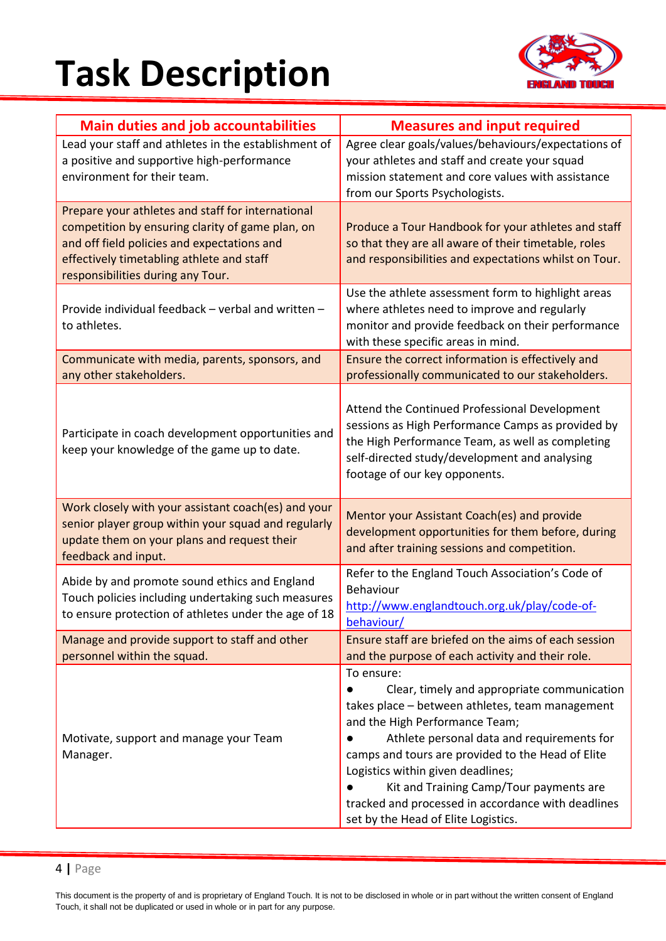

| <b>Main duties and job accountabilities</b>                                                                                                                                                                                            | <b>Measures and input required</b>                                                                                                                                                                                                                                                                                                                                                                                             |
|----------------------------------------------------------------------------------------------------------------------------------------------------------------------------------------------------------------------------------------|--------------------------------------------------------------------------------------------------------------------------------------------------------------------------------------------------------------------------------------------------------------------------------------------------------------------------------------------------------------------------------------------------------------------------------|
| Lead your staff and athletes in the establishment of<br>a positive and supportive high-performance<br>environment for their team.                                                                                                      | Agree clear goals/values/behaviours/expectations of<br>your athletes and staff and create your squad<br>mission statement and core values with assistance<br>from our Sports Psychologists.                                                                                                                                                                                                                                    |
| Prepare your athletes and staff for international<br>competition by ensuring clarity of game plan, on<br>and off field policies and expectations and<br>effectively timetabling athlete and staff<br>responsibilities during any Tour. | Produce a Tour Handbook for your athletes and staff<br>so that they are all aware of their timetable, roles<br>and responsibilities and expectations whilst on Tour.                                                                                                                                                                                                                                                           |
| Provide individual feedback - verbal and written -<br>to athletes.                                                                                                                                                                     | Use the athlete assessment form to highlight areas<br>where athletes need to improve and regularly<br>monitor and provide feedback on their performance<br>with these specific areas in mind.                                                                                                                                                                                                                                  |
| Communicate with media, parents, sponsors, and<br>any other stakeholders.                                                                                                                                                              | Ensure the correct information is effectively and<br>professionally communicated to our stakeholders.                                                                                                                                                                                                                                                                                                                          |
| Participate in coach development opportunities and<br>keep your knowledge of the game up to date.                                                                                                                                      | Attend the Continued Professional Development<br>sessions as High Performance Camps as provided by<br>the High Performance Team, as well as completing<br>self-directed study/development and analysing<br>footage of our key opponents.                                                                                                                                                                                       |
| Work closely with your assistant coach(es) and your<br>senior player group within your squad and regularly<br>update them on your plans and request their<br>feedback and input.                                                       | Mentor your Assistant Coach(es) and provide<br>development opportunities for them before, during<br>and after training sessions and competition.                                                                                                                                                                                                                                                                               |
| Abide by and promote sound ethics and England<br>Touch policies including undertaking such measures<br>to ensure protection of athletes under the age of 18                                                                            | Refer to the England Touch Association's Code of<br>Behaviour<br>http://www.englandtouch.org.uk/play/code-of-<br>behaviour/                                                                                                                                                                                                                                                                                                    |
| Manage and provide support to staff and other<br>personnel within the squad.                                                                                                                                                           | Ensure staff are briefed on the aims of each session<br>and the purpose of each activity and their role.                                                                                                                                                                                                                                                                                                                       |
| Motivate, support and manage your Team<br>Manager.                                                                                                                                                                                     | To ensure:<br>Clear, timely and appropriate communication<br>takes place - between athletes, team management<br>and the High Performance Team;<br>Athlete personal data and requirements for<br>camps and tours are provided to the Head of Elite<br>Logistics within given deadlines;<br>Kit and Training Camp/Tour payments are<br>tracked and processed in accordance with deadlines<br>set by the Head of Elite Logistics. |

#### 4 **|** Page

This document is the property of and is proprietary of England Touch. It is not to be disclosed in whole or in part without the written consent of England Touch, it shall not be duplicated or used in whole or in part for any purpose.